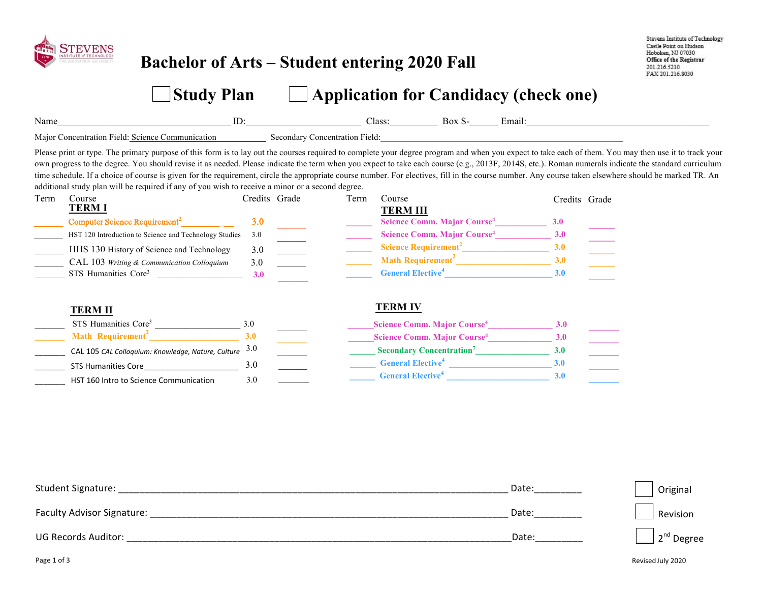

### **Bachelor of Arts – Student entering 2020 Fall**

3.0 \_\_\_\_\_\_\_

3.0

Stevens Institute of Technology Castle Point on Hudson Hoboken, NJ 07030 Office of the Registrar 201.216.5210 FAX 201.216.8030

# **Study Plan**   $\Box$  Application for Candidacy (check one)

| Name                                                                                                                                                                                                                                                                                                                                                                                                                                                                                                                                                                                                                                                                                                                       | ID:           |                                | Class:<br>Box S-                                                                                                                                                                                                                                                          | Email:        |  |
|----------------------------------------------------------------------------------------------------------------------------------------------------------------------------------------------------------------------------------------------------------------------------------------------------------------------------------------------------------------------------------------------------------------------------------------------------------------------------------------------------------------------------------------------------------------------------------------------------------------------------------------------------------------------------------------------------------------------------|---------------|--------------------------------|---------------------------------------------------------------------------------------------------------------------------------------------------------------------------------------------------------------------------------------------------------------------------|---------------|--|
| Major Concentration Field: Science Communication                                                                                                                                                                                                                                                                                                                                                                                                                                                                                                                                                                                                                                                                           |               | Secondary Concentration Field: |                                                                                                                                                                                                                                                                           |               |  |
| Please print or type. The primary purpose of this form is to lay out the courses required to complete your degree program and when you expect to take each of them. You may then use it to track your<br>own progress to the degree. You should revise it as needed. Please indicate the term when you expect to take each course (e.g., 2013F, 2014S, etc.). Roman numerals indicate the standard curriculum<br>time schedule. If a choice of course is given for the requirement, circle the appropriate course number. For electives, fill in the course number. Any course taken elsewhere should be marked TR. An<br>additional study plan will be required if any of you wish to receive a minor or a second degree. |               |                                |                                                                                                                                                                                                                                                                           |               |  |
| Course<br>Term<br><b>TERM I</b>                                                                                                                                                                                                                                                                                                                                                                                                                                                                                                                                                                                                                                                                                            | Credits Grade | Term                           | Course                                                                                                                                                                                                                                                                    | Credits Grade |  |
| Computer Science Requirement <sup>2</sup>                                                                                                                                                                                                                                                                                                                                                                                                                                                                                                                                                                                                                                                                                  | 3.0           |                                | <b>TERM III</b><br>Science Comm. Major Course <sup>4</sup>                                                                                                                                                                                                                | <b>3.0</b>    |  |
| HST 120 Introduction to Science and Technology Studies<br>HHS 130 History of Science and Technology                                                                                                                                                                                                                                                                                                                                                                                                                                                                                                                                                                                                                        | 3.0<br>3.0    |                                | Science Comm. Major Course <sup>4</sup><br>Science Requirement <sup>2</sup>                                                                                                                                                                                               | 3.0<br>3.0    |  |
| CAL 103 Writing & Communication Colloquium<br>STS Humanities Core <sup>3</sup>                                                                                                                                                                                                                                                                                                                                                                                                                                                                                                                                                                                                                                             | 3.0<br>3.0    |                                | Math Requirement <sup>2</sup> and the mathematic state of the state of the state of the state of the state of the state of the state of the state of the state of the state of the state of the state of the state of the state of the s<br>General Elective <sup>4</sup> | 3.0<br>3.0    |  |
|                                                                                                                                                                                                                                                                                                                                                                                                                                                                                                                                                                                                                                                                                                                            |               |                                |                                                                                                                                                                                                                                                                           |               |  |
| <b>TERM II</b>                                                                                                                                                                                                                                                                                                                                                                                                                                                                                                                                                                                                                                                                                                             |               |                                | <b>TERM IV</b>                                                                                                                                                                                                                                                            |               |  |
| STS Humanities Core <sup>3</sup>                                                                                                                                                                                                                                                                                                                                                                                                                                                                                                                                                                                                                                                                                           | 30            |                                | Science Comm. Major Course <sup>4</sup>                                                                                                                                                                                                                                   | 3.0           |  |
| Math Requirement <sup>2</sup>                                                                                                                                                                                                                                                                                                                                                                                                                                                                                                                                                                                                                                                                                              | 3.0           |                                | Science Comm. Major Course <sup>4</sup>                                                                                                                                                                                                                                   | 3.0           |  |
| CAL 105 CAL Colloquium: Knowledge, Nature, Culture                                                                                                                                                                                                                                                                                                                                                                                                                                                                                                                                                                                                                                                                         | 3.0           |                                | <b>Secondary Concentration</b> <sup>7</sup>                                                                                                                                                                                                                               | 3.0           |  |

\_\_\_\_\_\_ **\_\_\_\_\_\_\_ \_\_\_\_\_\_ General Elective<sup>4</sup>** 

**\_\_\_\_\_\_ General Elective 4 \_\_\_\_\_\_\_\_\_\_\_\_\_\_\_\_\_\_\_\_\_\_\_\_ 3.0** 

**\_\_\_\_\_\_\_\_\_\_\_\_\_\_\_\_\_\_\_\_\_\_\_\_ 3.0** 

**\_\_\_\_\_\_\_**

| Student Signature:                | Date: | Original               |
|-----------------------------------|-------|------------------------|
| <b>Faculty Advisor Signature:</b> | Date: | Revision               |
| <b>UG Records Auditor:</b>        | Date: | $\sqrt{2^{nd}}$ Degree |

STS Humanities Core

HST 160 Intro to Science Communication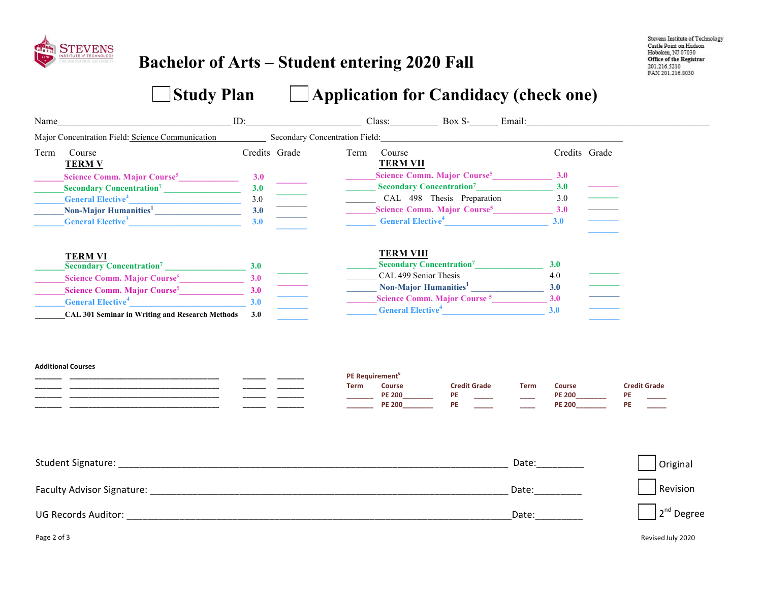

## **Bachelor of Arts – Student entering 2020 Fall**

# Study Plan **Candidacy (check one)**

| Name |                                                                                                                                                                                                                                | ID: |                                                                                                                                                                                                                                                                                                                                                                                                                                                                                                                                                                                                                   |      | Class: Box S- Email:                                                                    |                                  |             |                                                 |                                 |
|------|--------------------------------------------------------------------------------------------------------------------------------------------------------------------------------------------------------------------------------|-----|-------------------------------------------------------------------------------------------------------------------------------------------------------------------------------------------------------------------------------------------------------------------------------------------------------------------------------------------------------------------------------------------------------------------------------------------------------------------------------------------------------------------------------------------------------------------------------------------------------------------|------|-----------------------------------------------------------------------------------------|----------------------------------|-------------|-------------------------------------------------|---------------------------------|
|      | Major Concentration Field: Science Communication                                                                                                                                                                               |     | Secondary Concentration Field: Executive Secondary Concentration Field:                                                                                                                                                                                                                                                                                                                                                                                                                                                                                                                                           |      |                                                                                         |                                  |             |                                                 |                                 |
| Term | Course<br><b>TERM V</b>                                                                                                                                                                                                        |     | Credits Grade                                                                                                                                                                                                                                                                                                                                                                                                                                                                                                                                                                                                     | Term | Course<br><b>TERM VII</b>                                                               |                                  |             | Credits Grade                                   |                                 |
|      | Science Comm. Major Course <sup>5</sup>                                                                                                                                                                                        | 3.0 |                                                                                                                                                                                                                                                                                                                                                                                                                                                                                                                                                                                                                   |      | Science Comm. Major Course <sup>5</sup> 3.0                                             |                                  |             |                                                 |                                 |
|      | Secondary Concentration <sup>7</sup>                                                                                                                                                                                           | 3.0 |                                                                                                                                                                                                                                                                                                                                                                                                                                                                                                                                                                                                                   |      | <b>Secondary Concentration<sup>7</sup></b>                                              |                                  |             | 3.0                                             |                                 |
|      | General Elective <sup>4</sup>                                                                                                                                                                                                  | 3.0 |                                                                                                                                                                                                                                                                                                                                                                                                                                                                                                                                                                                                                   |      | CAL 498 Thesis Preparation                                                              |                                  |             | 3.0                                             |                                 |
|      | Non-Major Humanities <sup>1</sup>                                                                                                                                                                                              | 3.0 |                                                                                                                                                                                                                                                                                                                                                                                                                                                                                                                                                                                                                   |      | Science Comm. Major Course <sup>5</sup> 3.0                                             |                                  |             |                                                 |                                 |
|      | General Elective <sup>3</sup>                                                                                                                                                                                                  | 3.0 | $\begin{tabular}{ c c c c } \hline \quad \quad & \quad \quad & \quad \quad \\ \hline \quad \quad & \quad \quad & \quad \quad \\ \hline \quad \quad & \quad \quad & \quad \quad \\ \hline \quad \quad & \quad \quad & \quad \quad \\ \hline \quad \quad & \quad \quad & \quad \quad \\ \hline \quad \quad & \quad \quad & \quad \quad \\ \hline \end{tabular}$                                                                                                                                                                                                                                                     |      | <b>Example 2.1 General Elective</b> <sup>4</sup> 2.0                                    |                                  |             |                                                 |                                 |
|      | <b>TERM VI</b><br>Secondary Concentration <sup>7</sup> 23.0                                                                                                                                                                    |     |                                                                                                                                                                                                                                                                                                                                                                                                                                                                                                                                                                                                                   |      | <b>TERM VIII</b><br><b>Secondary Concentration<sup>7</sup></b><br>CAL 499 Senior Thesis |                                  |             | 3.0<br>4.0                                      |                                 |
|      | Science Comm. Major Course <sup>5</sup> 3.0                                                                                                                                                                                    |     |                                                                                                                                                                                                                                                                                                                                                                                                                                                                                                                                                                                                                   |      | Non-Major Humanities <sup>1</sup> 3.0                                                   |                                  |             |                                                 |                                 |
|      | Science Comm. Major Course <sup>5</sup> 3.0                                                                                                                                                                                    |     | $\begin{tabular}{ c c c c } \hline \quad \quad & \quad \quad & \quad \quad \\ \hline \quad \quad & \quad \quad & \quad \quad \\ \hline \quad \quad & \quad \quad & \quad \quad \\ \hline \quad \quad & \quad \quad & \quad \quad \\ \hline \quad \quad & \quad \quad & \quad \quad \\ \hline \quad \quad & \quad \quad & \quad \quad \\ \hline \quad \quad & \quad \quad & \quad \quad \\ \hline \quad \quad & \quad \quad & \quad \quad \\ \hline \quad \quad & \quad \quad & \quad \quad \\ \hline \quad \quad & \quad \quad & \quad \quad \\ \hline \quad \quad & \quad \quad & \quad \quad \\ \hline \quad \$ |      | Science Comm. Major Course <sup>5</sup>                                                 |                                  |             | 3.0                                             |                                 |
|      | General Elective <sup>4</sup><br>CAL 301 Seminar in Writing and Research Methods 3.0                                                                                                                                           | 3.0 |                                                                                                                                                                                                                                                                                                                                                                                                                                                                                                                                                                                                                   |      | General Elective <sup>4</sup>                                                           |                                  |             | 3.0                                             |                                 |
|      | <b>Additional Courses</b>                                                                                                                                                                                                      |     |                                                                                                                                                                                                                                                                                                                                                                                                                                                                                                                                                                                                                   | Term | PE Requirement <sup>6</sup><br><b>Course</b><br><b>PE 200</b><br><b>PE 200</b>          | <b>Credit Grade</b><br>PE<br>PE. | <b>Term</b> | <b>Course</b><br><b>PE 200</b><br><b>PE 200</b> | <b>Credit Grade</b><br>PE<br>PE |
|      | Student Signature: with a state of the state of the state of the state of the state of the state of the state of the state of the state of the state of the state of the state of the state of the state of the state of the s |     |                                                                                                                                                                                                                                                                                                                                                                                                                                                                                                                                                                                                                   |      |                                                                                         |                                  |             | Date:__________                                 | Original                        |
|      |                                                                                                                                                                                                                                |     |                                                                                                                                                                                                                                                                                                                                                                                                                                                                                                                                                                                                                   |      |                                                                                         |                                  |             | Date:                                           | Revision                        |
|      | <b>UG Records Auditor:</b>                                                                                                                                                                                                     |     |                                                                                                                                                                                                                                                                                                                                                                                                                                                                                                                                                                                                                   |      |                                                                                         |                                  | Date:       |                                                 | $2nd$ Degree                    |